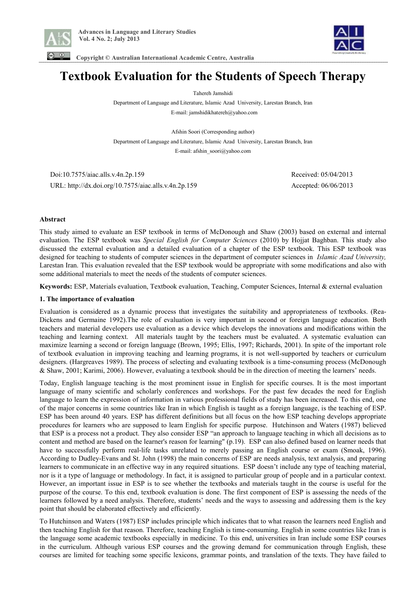



 **Copyright © Australian International Academic Centre, Australia** 

# **Textbook Evaluation for the Students of Speech Therapy**

Tahereh Jamshidi

Department of Language and Literature, Islamic Azad University, Larestan Branch, Iran E-mail: jamshidikhatereh@yahoo.com

Afshin Soori (Corresponding author) Department of Language and Literature, Islamic Azad University, Larestan Branch, Iran E-mail: afshin\_soori@yahoo.com

 Doi:10.7575/aiac.alls.v.4n.2p.159 Received: 05/04/2013 URL: http://dx.doi.org/10.7575/aiac.alls.v.4n.2p.159 Accepted: 06/06/2013

# **Abstract**

This study aimed to evaluate an ESP textbook in terms of McDonough and Shaw (2003) based on external and internal evaluation. The ESP textbook was *Special English for Computer Sciences* (2010) by Hojjat Baghban. This study also discussed the external evaluation and a detailed evaluation of a chapter of the ESP textbook. This ESP textbook was designed for teaching to students of computer sciences in the department of computer sciences in *Islamic Azad University,*  Larestan Iran. This evaluation revealed that the ESP textbook would be appropriate with some modifications and also with some additional materials to meet the needs of the students of computer sciences.

**Keywords:** ESP, Materials evaluation, Textbook evaluation, Teaching, Computer Sciences, Internal & external evaluation

# **1. The importance of evaluation**

Evaluation is considered as a dynamic process that investigates the suitability and appropriateness of textbooks. (Rea-Dickens and Germaine 1992).The role of evaluation is very important in second or foreign language education. Both teachers and material developers use evaluation as a device which develops the innovations and modifications within the teaching and learning context. All materials taught by the teachers must be evaluated. A systematic evaluation can maximize learning a second or foreign language (Brown, 1995; Ellis, 1997; Richards, 2001). In spite of the important role of textbook evaluation in improving teaching and learning programs, it is not well-supported by teachers or curriculum designers. (Hargreaves 1989). The process of selecting and evaluating textbook is a time-consuming process (McDonough & Shaw, 2001; Karimi, 2006). However, evaluating a textbook should be in the direction of meeting the learners' needs.

Today, English language teaching is the most prominent issue in English for specific courses. It is the most important language of many scientific and scholarly conferences and workshops. For the past few decades the need for English language to learn the expression of information in various professional fields of study has been increased. To this end, one of the major concerns in some countries like Iran in which English is taught as a foreign language, is the teaching of ESP. ESP has been around 40 years. ESP has different definitions but all focus on the how ESP teaching develops appropriate procedures for learners who are supposed to learn English for specific purpose. Hutchinson and Waters (1987) believed that ESP is a process not a product. They also consider ESP "an approach to language teaching in which all decisions as to content and method are based on the learner's reason for learning" (p.19). ESP can also defined based on learner needs that have to successfully perform real-life tasks unrelated to merely passing an English course or exam (Smoak, 1996). According to Dudley-Evans and St. John (1998) the main concerns of ESP are needs analysis, text analysis, and preparing learners to communicate in an effective way in any required situations. ESP doesn't include any type of teaching material, nor is it a type of language or methodology. In fact, it is assigned to particular group of people and in a particular context. However, an important issue in ESP is to see whether the textbooks and materials taught in the course is useful for the purpose of the course. To this end, textbook evaluation is done. The first component of ESP is assessing the needs of the learners followed by a need analysis. Therefore, students' needs and the ways to assessing and addressing them is the key point that should be elaborated effectively and efficiently.

To Hutchinson and Waters (1987) ESP includes principle which indicates that to what reason the learners need English and then teaching English for that reason. Therefore, teaching English is time-consuming. English in some countries like Iran is the language some academic textbooks especially in medicine. To this end, universities in Iran include some ESP courses in the curriculum. Although various ESP courses and the growing demand for communication through English, these courses are limited for teaching some specific lexicons, grammar points, and translation of the texts. They have failed to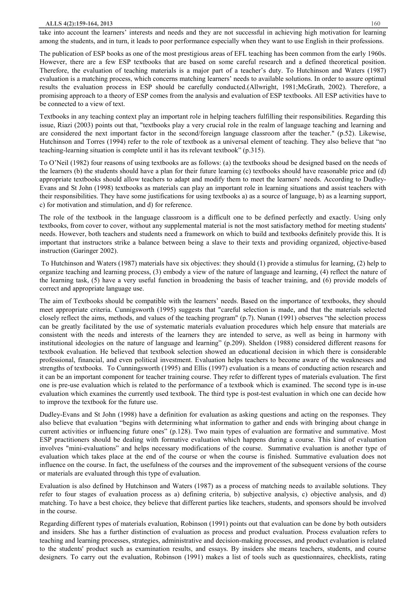#### **ALLS 4(2):159-164, 2013** 160

take into account the learners' interests and needs and they are not successful in achieving high motivation for learning among the students, and in turn, it leads to poor performance especially when they want to use English in their professions.

The publication of ESP books as one of the most prestigious areas of EFL teaching has been common from the early 1960s. However, there are a few ESP textbooks that are based on some careful research and a defined theoretical position. Therefore, the evaluation of teaching materials is a major part of a teacher's duty. To Hutchinson and Waters (1987) evaluation is a matching process, which concerns matching learners' needs to available solutions. In order to assure optimal results the evaluation process in ESP should be carefully conducted.(Allwright, 1981;McGrath, 2002). Therefore, a promising approach to a theory of ESP comes from the analysis and evaluation of ESP textbooks. All ESP activities have to be connected to a view of text.

Textbooks in any teaching context play an important role in helping teachers fulfilling their responsibilities. Regarding this issue, Riazi (2003) points out that, "textbooks play a very crucial role in the realm of language teaching and learning and are considered the next important factor in the second/foreign language classroom after the teacher." (p.52). Likewise, Hutchinson and Torres (1994) refer to the role of textbook as a universal element of teaching. They also believe that "no teaching-learning situation is complete until it has its relevant textbook" (p.315).

To O'Neil (1982) four reasons of using textbooks are as follows: (a) the textbooks shoud be designed based on the needs of the learners (b) the students should have a plan for their future learning (c) textbooks should have reasonable price and (d) appropriate textbooks should allow teachers to adapt and modify them to meet the learners' needs. According to Dudley-Evans and St John (1998) textbooks as materials can play an important role in learning situations and assist teachers with their responsibilities. They have some justifications for using textbooks a) as a source of language, b) as a learning support, c) for motivation and stimulation, and d) for reference.

The role of the textbook in the language classroom is a difficult one to be defined perfectly and exactly. Using only textbooks, from cover to cover, without any supplemental material is not the most satisfactory method for meeting students' needs. However, both teachers and students need a framework on which to build and textbooks definitely provide this. It is important that instructors strike a balance between being a slave to their texts and providing organized, objective-based instruction (Garinger 2002).

 To Hutchinson and Waters (1987) materials have six objectives: they should (1) provide a stimulus for learning, (2) help to organize teaching and learning process, (3) embody a view of the nature of language and learning, (4) reflect the nature of the learning task, (5) have a very useful function in broadening the basis of teacher training, and (6) provide models of correct and appropriate language use.

The aim of Textbooks should be compatible with the learners' needs. Based on the importance of textbooks, they should meet appropriate criteria. Cunnigsworth (1995) suggests that "careful selection is made, and that the materials selected closely reflect the aims, methods, and values of the teaching program" (p.7). Nunan (1991) observes "the selection process can be greatly facilitated by the use of systematic materials evaluation procedures which help ensure that materials are consistent with the needs and interests of the learners they are intended to serve, as well as being in harmony with institutional ideologies on the nature of language and learning" (p.209). Sheldon (1988) considered different reasons for textbook evaluation. He believed that textbook selection showed an educational decision in which there is considerable professional, financial, and even political investment. Evaluation helps teachers to become aware of the weaknesses and strengths of textbooks. To Cunningsworth (1995) and Ellis (1997) evaluation is a means of conducting action research and it can be an important component for teacher training course. They refer to different types of materials evaluation. The first one is pre-use evaluation which is related to the performance of a textbook which is examined. The second type is in-use evaluation which examines the currently used textbook. The third type is post-test evaluation in which one can decide how to improve the textbook for the future use.

Dudley-Evans and St John (1998) have a definition for evaluation as asking questions and acting on the responses. They also believe that evaluation "begins with determining what information to gather and ends with bringing about change in current activities or influencing future ones" (p.128). Two main types of evaluation are formative and summative. Most ESP practitioners should be dealing with formative evaluation which happens during a course. This kind of evaluation involves "mini-evaluations" and helps necessary modifications of the course. Summative evaluation is another type of evaluation which takes place at the end of the course or when the course is finished. Summative evaluation does not influence on the course. In fact, the usefulness of the courses and the improvement of the subsequent versions of the course or materials are evaluated through this type of evaluation.

Evaluation is also defined by Hutchinson and Waters (1987) as a process of matching needs to available solutions. They refer to four stages of evaluation process as a) defining criteria, b) subjective analysis, c) objective analysis, and d) matching. To have a best choice, they believe that different parties like teachers, students, and sponsors should be involved in the course.

Regarding different types of materials evaluation, Robinson (1991) points out that evaluation can be done by both outsiders and insiders. She has a further distinction of evaluation as process and product evaluation. Process evaluation refers to teaching and learning processes, strategies, administrative and decision-making processes, and product evaluation is related to the students' product such as examination results, and essays. By insiders she means teachers, students, and course designers. To carry out the evaluation, Robinson (1991) makes a list of tools such as questionnaires, checklists, rating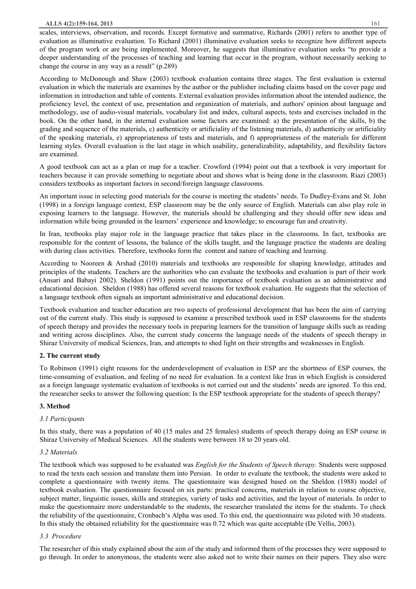#### **ALLS 4(2):159-164, 2013** 161

scales, interviews, observation, and records. Except formative and summative, Richards (2001) refers to another type of evaluation as illuminative evaluation. To Richard (2001) illuminative evaluation seeks to recognize how different aspects of the program work or are being implemented. Moreover, he suggests that illuminative evaluation seeks "to provide a deeper understanding of the processes of teaching and learning that occur in the program, without necessarily seeking to change the course in any way as a result" (p.289)

According to McDonough and Shaw (2003) textbook evaluation contains three stages. The first evaluation is external evaluation in which the materials are examines by the author or the publisher including claims based on the cover page and information in introduction and table of contents. External evaluation provides information about the intended audience, the proficiency level, the context of use, presentation and organization of materials, and authors' opinion about language and methodology, use of audio-visual materials, vocabulary list and index, cultural aspects, tests and exercises included in the book. On the other hand, in the internal evaluation some factors are examined: a) the presentation of the skills, b) the grading and sequence of the materials, c) authenticity or artificiality of the listening materials, d) authenticity or artificiality of the speaking materials, e) appropriateness of tests and materials, and f) appropriateness of the materials for different learning styles. Overall evaluation is the last stage in which usability, generalizability, adaptability, and flexibility factors are examined.

A good textbook can act as a plan or map for a teacher. Crowford (1994) point out that a textbook is very important for teachers because it can provide something to negotiate about and shows what is being done in the classroom. Riazi (2003) considers textbooks as important factors in second/foreign language classrooms.

An important issue in selecting good materials for the course is meeting the students' needs. To Dudley-Evans and St. John (1998) in a foreign language context, ESP classroom may be the only source of English. Materials can also play role in exposing learners to the language. However, the materials should be challenging and they should offer new ideas and information while being grounded in the learners' experience and knowledge; to encourage fun and creativity.

In Iran, textbooks play major role in the language practice that takes place in the classrooms. In fact, textbooks are responsible for the content of lessons, the balance of the skills taught, and the language practice the students are dealing with during class activities. Therefore, textbooks form the content and nature of teaching and learning.

According to Nooreen & Arshad (2010) materials and textbooks are responsible for shaping knowledge, attitudes and principles of the students. Teachers are the authorities who can evaluate the textbooks and evaluation is part of their work (Ansari and Babayi 2002). Sheldon (1991) points out the importance of textbook evaluation as an administrative and educational decision. Sheldon (1988) has offered several reasons for textbook evaluation. He suggests that the selection of a language textbook often signals an important administrative and educational decision.

Textbook evaluation and teacher education are two aspects of professional development that has been the aim of carrying out of the current study. This study is supposed to examine a prescribed textbook used in ESP classrooms for the students of speech therapy and provides the necessary tools in preparing learners for the transition of language skills such as reading and writing across disciplines. Also, the current study concerns the language needs of the students of speech therapy in Shiraz University of medical Sciences, Iran, and attempts to shed light on their strengths and weaknesses in English.

# **2. The current study**

To Robinson (1991) eight reasons for the underdevelopment of evaluation in ESP are the shortness of ESP courses, the time-consuming of evaluation, and feeling of no need for evaluation. In a context like Iran in which English is considered as a foreign language systematic evaluation of textbooks is not carried out and the students' needs are ignored. To this end, the researcher seeks to answer the following question: Is the ESP textbook appropriate for the students of speech therapy?

# **3. Method**

#### *3.1 Participants*

In this study, there was a population of 40 (15 males and 25 females) students of speech therapy doing an ESP course in Shiraz University of Medical Sciences. All the students were between 18 to 20 years old.

#### *3.2 Materials*

The textbook which was supposed to be evaluated was *English for the Students of Speech therapy.* Students were supposed to read the texts each session and translate them into Persian. In order to evaluate the textbook, the students were asked to complete a questionnaire with twenty items. The questionnaire was designed based on the Sheldon (1988) model of textbook evaluation. The questionnaire focused on six parts: practical concerns, materials in relation to course objective, subject matter, linguistic issues, skills and strategies, variety of tasks and activities, and the layout of materials. In order to make the questionnaire more understandable to the students, the researcher translated the items for the students. To check the reliability of the questionnaire, Cronbach's Alpha was used. To this end, the questionnaire was piloted with 30 students. In this study the obtained reliability for the questionnaire was 0.72 which was quite acceptable (De Vellis, 2003).

#### *3.3 Procedure*

The researcher of this study explained about the aim of the study and informed them of the processes they were supposed to go through. In order to anonymous, the students were also asked not to write their names on their papers. They also were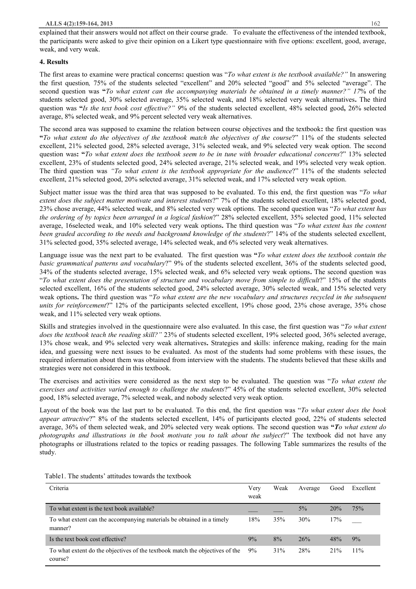# **4. Results**

The first areas to examine were practical concerns**:** question was "*To what extent is the textbook available?"* In answering the first question*,* 75% of the students selected "excellent" and 20% selected "good" and 5% selected "average". The second question was **"***To what extent can the accompanying materials be obtained in a timely manner?" 17*% of the students selected good, 30% selected average, 35% selected weak, and 18% selected very weak alternatives**.** The third question was **"***Is the text book cost effective?" 9*% of the students selected excellent, 48% selected good**,** 26% selected average, 8% selected weak, and 9% percent selected very weak alternatives.

The second area was supposed to examine the relation between course objectives and the textbook**:** the first question was "To what extent do the objectives of the textbook match the objectives of the course?" 11% of the students selected excellent, 21% selected good, 28% selected average, 31% selected weak, and 9% selected very weak option. The second question was: "To what extent does the textbook seem to be in tune with broader educational concerns?" 13% selected excellent, 23% of students selected good, 24% selected average, 21% selected weak, and 19% selected very weak option. The third question was *"To what extent is the textbook appropriate for the audience*?" 11% of the students selected excellent, 21% selected good, 20% selected average, 31% selected weak, and 17% selected very weak option.

Subject matter issue was the third area that was supposed to be evaluated. To this end, the first question was "*To what extent does the subject matter motivate and interest students*?" 7% of the students selected excellent, 18% selected good, 23% chose average, 44% selected weak, and 8% selected very weak options. The second question was "*To what extent has the ordering of by topics been arranged in a logical fashion*?" 28% selected excellent, 35% selected good, 11% selected average, 16selected weak, and 10% selected very weak options**.** The third question was "*To what extent has the content been graded according to the needs and background knowledge of the students*?" 14% of the students selected excellent, 31% selected good, 35% selected average, 14% selected weak, and 6% selected very weak alternatives.

Language issue was the next part to be evaluated. The first question was **"***To what extent does the textbook contain the basic grammatical patterns and vocabulary*?" 9% of the students selected excellent, 36% of the students selected good, 34% of the students selected average, 15% selected weak, and 6% selected very weak options**.** The second question was "*To what extent does the presentation of structure and vocabulary move from simple to difficult*?" 15% of the students selected excellent, 16% of the students selected good, 24% selected average, 30% selected weak, and 15% selected very weak options**.** The third *qu*estion was "*To what extent are the new vocabulary and structures recycled in the subsequent units for reinforcement*?" 12% of the participants selected excellent, 19% chose good, 23% chose average, 35% chose weak, and 11% selected very weak options.

Skills and strategies involved in the questionnaire were also evaluated. In this case, the first question was "*To what extent does the textbook teach the reading skill?"* 23% of students selected excellent, 19% selected good, 36% selected average, 13% chose weak, and 9% selected very weak alternatives**.** Strategies and skills: inference making, reading for the main idea, and guessing were next issues to be evaluated. As most of the students had some problems with these issues, the required information about them was obtained from interview with the students. The students believed that these skills and strategies were not considered in this textbook.

The exercises and activities were considered as the next step to be evaluated. The question was "*To what extent the exercises and activities varied enough to challenge the students*?" 45% of the students selected excellent, 30% selected good, 18% selected average, 7% selected weak, and nobody selected very weak option.

Layout of the book was the last part to be evaluated. To this end, the first question was "*To what extent does the book appear attractive*?" 8% of the students selected excellent, 14% of participants elected good, 22% of students selected average, 36% of them selected weak, and 20% selected very weak options. The second question was **"***To what extent do photographs and illustrations in the book motivate you to talk about the subject*?" The textbook did not have any photographs or illustrations related to the topics or reading passages. The following Table summarizes the results of the study.

| Criteria                                                                                | Very<br>weak | Weak | Average | Good | Excellent |
|-----------------------------------------------------------------------------------------|--------------|------|---------|------|-----------|
| To what extent is the text book available?                                              |              |      | $5\%$   | 20%  | 75%       |
| To what extent can the accompanying materials be obtained in a timely<br>manner?        | 18%          | 35%  | 30%     | 17%  |           |
| Is the text book cost effective?                                                        | 9%           | 8%   | 26%     | 48%  | 9%        |
| To what extent do the objectives of the textbook match the objectives of the<br>course? | 9%           | 31%  | 28%     | 21%  | 11%       |

Table1. The students' attitudes towards the textbook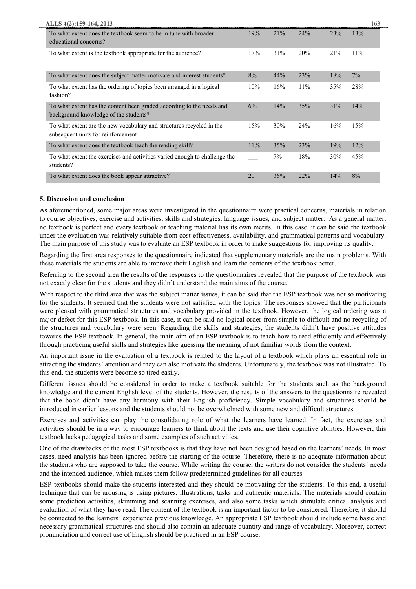| ALLS 4(2):159-164, 2013                                                                                        |        |     |     |     | 163 |
|----------------------------------------------------------------------------------------------------------------|--------|-----|-----|-----|-----|
| To what extent does the textbook seem to be in tune with broader<br>educational concerns?                      | 19%    | 21% | 24% | 23% | 13% |
| To what extent is the textbook appropriate for the audience?                                                   | 17%    | 31% | 20% | 21% | 11% |
| To what extent does the subject matter motivate and interest students?                                         | 8%     | 44% | 23% | 18% | 7%  |
| To what extent has the ordering of topics been arranged in a logical<br>fashion?                               | 10%    | 16% | 11% | 35% | 28% |
| To what extent has the content been graded according to the needs and<br>background knowledge of the students? | 6%     | 14% | 35% | 31% | 14% |
| To what extent are the new vocabulary and structures recycled in the<br>subsequent units for reinforcement     | 15%    | 30% | 24% | 16% | 15% |
| To what extent does the textbook teach the reading skill?                                                      | $11\%$ | 35% | 23% | 19% | 12% |
| To what extent the exercises and activities varied enough to challenge the<br>students?                        |        | 7%  | 18% | 30% | 45% |
| To what extent does the book appear attractive?                                                                | 20     | 36% | 22% | 14% | 8%  |

# **5. Discussion and conclusion**

As aforementioned, some major areas were investigated in the questionnaire were practical concerns, materials in relation to course objectives, exercise and activities, skills and strategies, language issues, and subject matter. As a general matter, no textbook is perfect and every textbook or teaching material has its own merits. In this case, it can be said the textbook under the evaluation was relatively suitable from cost-effectiveness, availability, and grammatical patterns and vocabulary. The main purpose of this study was to evaluate an ESP textbook in order to make suggestions for improving its quality.

Regarding the first area responses to the questionnaire indicated that supplementary materials are the main problems. With these materials the students are able to improve their English and learn the contents of the textbook better.

Referring to the second area the results of the responses to the questionnaires revealed that the purpose of the textbook was not exactly clear for the students and they didn't understand the main aims of the course.

With respect to the third area that was the subject matter issues, it can be said that the ESP textbook was not so motivating for the students. It seemed that the students were not satisfied with the topics. The responses showed that the participants were pleased with grammatical structures and vocabulary provided in the textbook. However, the logical ordering was a major defect for this ESP textbook. In this case, it can be said no logical order from simple to difficult and no recycling of the structures and vocabulary were seen. Regarding the skills and strategies, the students didn't have positive attitudes towards the ESP textbook. In general, the main aim of an ESP textbook is to teach how to read efficiently and effectively through practicing useful skills and strategies like guessing the meaning of not familiar words from the context.

An important issue in the evaluation of a textbook is related to the layout of a textbook which plays an essential role in attracting the students' attention and they can also motivate the students. Unfortunately, the textbook was not illustrated. To this end, the students were become so tired easily.

Different issues should be considered in order to make a textbook suitable for the students such as the background knowledge and the current English level of the students. However, the results of the answers to the questionnaire revealed that the book didn't have any harmony with their English proficiency. Simple vocabulary and structures should be introduced in earlier lessons and the students should not be overwhelmed with some new and difficult structures.

Exercises and activities can play the consolidating role of what the learners have learned. In fact, the exercises and activities should be in a way to encourage learners to think about the texts and use their cognitive abilities. However, this textbook lacks pedagogical tasks and some examples of such activities.

One of the drawbacks of the most ESP textbooks is that they have not been designed based on the learners' needs. In most cases, need analysis has been ignored before the starting of the course. Therefore, there is no adequate information about the students who are supposed to take the course. While writing the course, the writers do not consider the students' needs and the intended audience, which makes them follow predetermined guidelines for all courses.

ESP textbooks should make the students interested and they should be motivating for the students. To this end, a useful technique that can be arousing is using pictures, illustrations, tasks and authentic materials. The materials should contain some prediction activities, skimming and scanning exercises, and also some tasks which stimulate critical analysis and evaluation of what they have read. The content of the textbook is an important factor to be considered. Therefore, it should be connected to the learners' experience previous knowledge. An appropriate ESP textbook should include some basic and necessary grammatical structures and should also contain an adequate quantity and range of vocabulary. Moreover, correct pronunciation and correct use of English should be practiced in an ESP course.